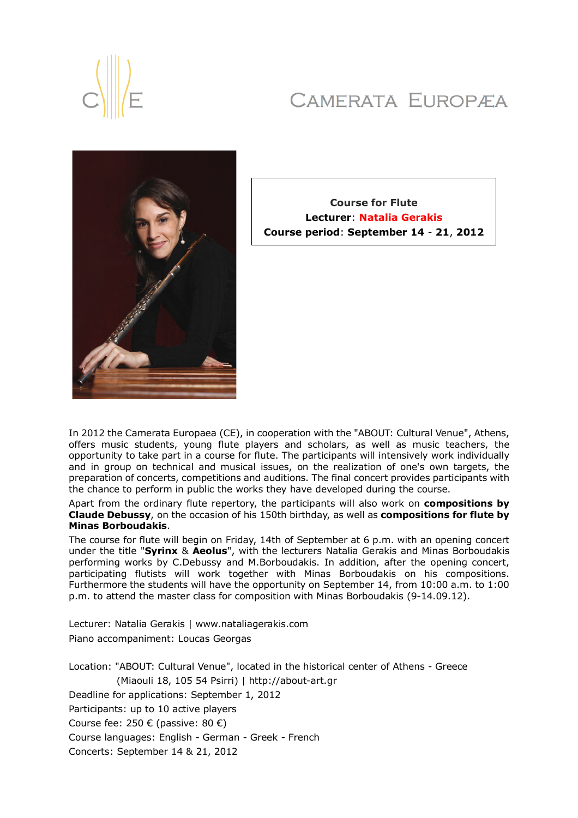# CAMERATA EUROPÆA





**Course for Flute Lecturer**: **Natalia Gerakis Course period**: **September 14** - **21**, **2012**

In 2012 the Camerata Europaea (CE), in cooperation with the "ABOUT: Cultural Venue", Athens, offers music students, young flute players and scholars, as well as music teachers, the opportunity to take part in a course for flute. The participants will intensively work individually and in group on technical and musical issues, on the realization of one's own targets, the preparation of concerts, competitions and auditions. The final concert provides participants with the chance to perform in public the works they have developed during the course.

Apart from the ordinary flute repertory, the participants will also work on **compositions by Claude Debussy**, on the occasion of his 150th birthday, as well as **compositions for flute by Minas Borboudakis**.

The course for flute will begin on Friday, 14th of September at 6 p.m. with an opening concert under the title "**Syrinx** & **Aeolus**", with the lecturers Natalia Gerakis and Minas Borboudakis performing works by C.Debussy and M.Borboudakis. In addition, after the opening concert, participating flutists will work together with Minas Borboudakis on his compositions. Furthermore the students will have the opportunity on September 14, from 10:00 a.m. to 1:00 p.m. to attend the master class for composition with Minas Borboudakis (9-14.09.12).

Lecturer: Natalia Gerakis | www.nataliagerakis.com Piano accompaniment: Loucas Georgas

Location: "ABOUT: Cultural Venue", located in the historical center of Athens - Greece (Miaouli 18, 105 54 Psirri) | http://about-art.gr Deadline for applications: September 1, 2012 Participants: up to 10 active players Course fee: 250 € (passive: 80 €) Course languages: English - German - Greek - French Concerts: September 14 & 21, 2012